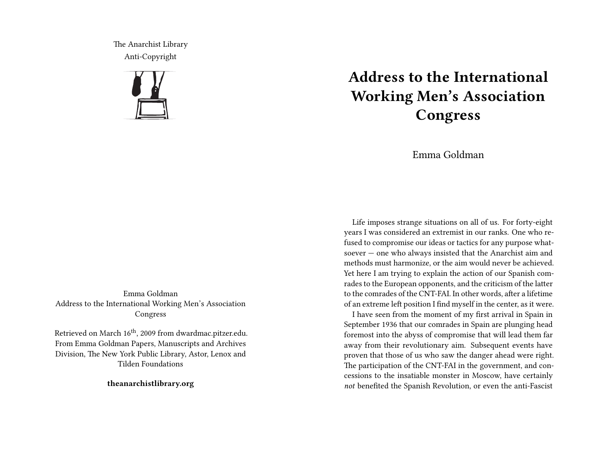The Anarchist Library Anti-Copyright



Emma Goldman Address to the International Working Men's Association Congress

Retrieved on March 16<sup>th</sup>, 2009 from dwardmac.pitzer.edu. From Emma Goldman Papers, Manuscripts and Archives Division, The New York Public Library, Astor, Lenox and Tilden Foundations

**theanarchistlibrary.org**

## **Address to the International Working Men's Association Congress**

Emma Goldman

Life imposes strange situations on all of us. For forty-eight years I was considered an extremist in our ranks. One who refused to compromise our ideas or tactics for any purpose whatsoever — one who always insisted that the Anarchist aim and methods must harmonize, or the aim would never be achieved. Yet here I am trying to explain the action of our Spanish comrades to the European opponents, and the criticism of the latter to the comrades of the CNT-FAI. In other words, after a lifetime of an extreme left position I find myself in the center, as it were.

I have seen from the moment of my first arrival in Spain in September 1936 that our comrades in Spain are plunging head foremost into the abyss of compromise that will lead them far away from their revolutionary aim. Subsequent events have proven that those of us who saw the danger ahead were right. The participation of the CNT-FAI in the government, and concessions to the insatiable monster in Moscow, have certainly *not* benefited the Spanish Revolution, or even the anti-Fascist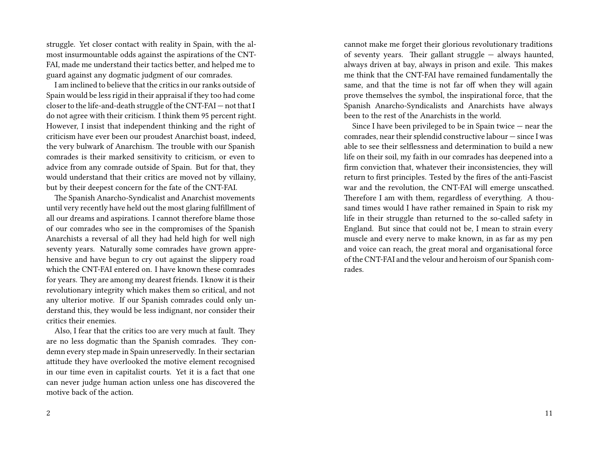struggle. Yet closer contact with reality in Spain, with the almost insurmountable odds against the aspirations of the CNT-FAI, made me understand their tactics better, and helped me to guard against any dogmatic judgment of our comrades.

I am inclined to believe that the critics in our ranks outside of Spain would be less rigid in their appraisal if they too had come closer to the life-and-death struggle of the CNT-FAI — not that I do not agree with their criticism. I think them 95 percent right. However, I insist that independent thinking and the right of criticism have ever been our proudest Anarchist boast, indeed, the very bulwark of Anarchism. The trouble with our Spanish comrades is their marked sensitivity to criticism, or even to advice from any comrade outside of Spain. But for that, they would understand that their critics are moved not by villainy, but by their deepest concern for the fate of the CNT-FAI.

The Spanish Anarcho-Syndicalist and Anarchist movements until very recently have held out the most glaring fulfillment of all our dreams and aspirations. I cannot therefore blame those of our comrades who see in the compromises of the Spanish Anarchists a reversal of all they had held high for well nigh seventy years. Naturally some comrades have grown apprehensive and have begun to cry out against the slippery road which the CNT-FAI entered on. I have known these comrades for years. They are among my dearest friends. I know it is their revolutionary integrity which makes them so critical, and not any ulterior motive. If our Spanish comrades could only understand this, they would be less indignant, nor consider their critics their enemies.

Also, I fear that the critics too are very much at fault. They are no less dogmatic than the Spanish comrades. They condemn every step made in Spain unreservedly. In their sectarian attitude they have overlooked the motive element recognised in our time even in capitalist courts. Yet it is a fact that one can never judge human action unless one has discovered the motive back of the action.

2

cannot make me forget their glorious revolutionary traditions of seventy years. Their gallant struggle — always haunted, always driven at bay, always in prison and exile. This makes me think that the CNT-FAI have remained fundamentally the same, and that the time is not far off when they will again prove themselves the symbol, the inspirational force, that the Spanish Anarcho-Syndicalists and Anarchists have always been to the rest of the Anarchists in the world.

Since I have been privileged to be in Spain twice — near the comrades, near their splendid constructive labour — since I was able to see their selflessness and determination to build a new life on their soil, my faith in our comrades has deepened into a firm conviction that, whatever their inconsistencies, they will return to first principles. Tested by the fires of the anti-Fascist war and the revolution, the CNT-FAI will emerge unscathed. Therefore I am with them, regardless of everything. A thousand times would I have rather remained in Spain to risk my life in their struggle than returned to the so-called safety in England. But since that could not be, I mean to strain every muscle and every nerve to make known, in as far as my pen and voice can reach, the great moral and organisational force of the CNT-FAI and the velour and heroism of our Spanish comrades.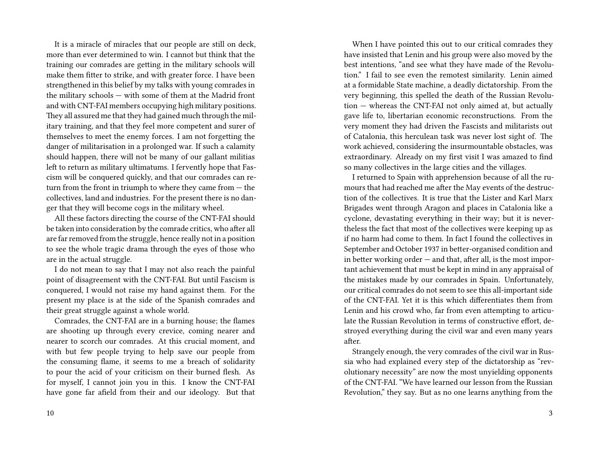It is a miracle of miracles that our people are still on deck, more than ever determined to win. I cannot but think that the training our comrades are getting in the military schools will make them fitter to strike, and with greater force. I have been strengthened in this belief by my talks with young comrades in the military schools — with some of them at the Madrid front and with CNT-FAI members occupying high military positions. They all assured me that they had gained much through the military training, and that they feel more competent and surer of themselves to meet the enemy forces. I am not forgetting the danger of militarisation in a prolonged war. If such a calamity should happen, there will not be many of our gallant militias left to return as military ultimatums. I fervently hope that Fascism will be conquered quickly, and that our comrades can return from the front in triumph to where they came from — the collectives, land and industries. For the present there is no danger that they will become cogs in the military wheel.

All these factors directing the course of the CNT-FAI should be taken into consideration by the comrade critics, who after all are far removed from the struggle, hence really not in a position to see the whole tragic drama through the eyes of those who are in the actual struggle.

I do not mean to say that I may not also reach the painful point of disagreement with the CNT-FAI. But until Fascism is conquered, I would not raise my hand against them. For the present my place is at the side of the Spanish comrades and their great struggle against a whole world.

Comrades, the CNT-FAI are in a burning house; the flames are shooting up through every crevice, coming nearer and nearer to scorch our comrades. At this crucial moment, and with but few people trying to help save our people from the consuming flame, it seems to me a breach of solidarity to pour the acid of your criticism on their burned flesh. As for myself, I cannot join you in this. I know the CNT-FAI have gone far afield from their and our ideology. But that

When I have pointed this out to our critical comrades they have insisted that Lenin and his group were also moved by the best intentions, "and see what they have made of the Revolution." I fail to see even the remotest similarity. Lenin aimed at a formidable State machine, a deadly dictatorship. From the very beginning, this spelled the death of the Russian Revolution — whereas the CNT-FAI not only aimed at, but actually gave life to, libertarian economic reconstructions. From the very moment they had driven the Fascists and militarists out of Catalonia, this herculean task was never lost sight of. The work achieved, considering the insurmountable obstacles, was extraordinary. Already on my first visit I was amazed to find so many collectives in the large cities and the villages.

I returned to Spain with apprehension because of all the rumours that had reached me after the May events of the destruction of the collectives. It is true that the Lister and Karl Marx Brigades went through Aragon and places in Catalonia like a cyclone, devastating everything in their way; but it is nevertheless the fact that most of the collectives were keeping up as if no harm had come to them. In fact I found the collectives in September and October 1937 in better-organised condition and in better working order  $-$  and that, after all, is the most important achievement that must be kept in mind in any appraisal of the mistakes made by our comrades in Spain. Unfortunately, our critical comrades do not seem to see this all-important side of the CNT-FAI. Yet it is this which differentiates them from Lenin and his crowd who, far from even attempting to articulate the Russian Revolution in terms of constructive effort, destroyed everything during the civil war and even many years after.

Strangely enough, the very comrades of the civil war in Russia who had explained every step of the dictatorship as "revolutionary necessity" are now the most unyielding opponents of the CNT-FAI. "We have learned our lesson from the Russian Revolution," they say. But as no one learns anything from the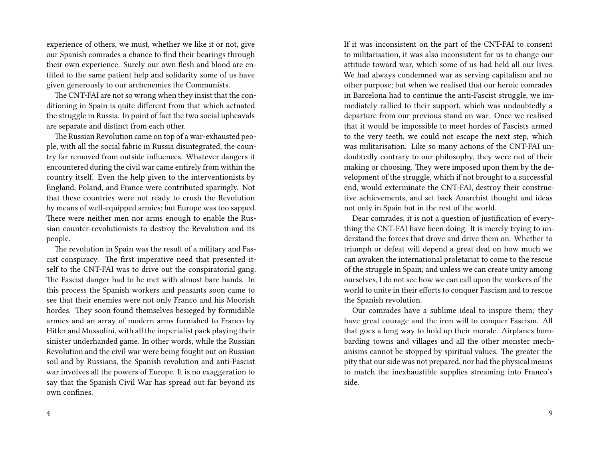experience of others, we must, whether we like it or not, give our Spanish comrades a chance to find their bearings through their own experience. Surely our own flesh and blood are entitled to the same patient help and solidarity some of us have given generously to our archenemies the Communists.

The CNT-FAI are not so wrong when they insist that the conditioning in Spain is quite different from that which actuated the struggle in Russia. In point of fact the two social upheavals are separate and distinct from each other.

The Russian Revolution came on top of a war-exhausted people, with all the social fabric in Russia disintegrated, the country far removed from outside influences. Whatever dangers it encountered during the civil war came entirely from within the country itself. Even the help given to the interventionists by England, Poland, and France were contributed sparingly. Not that these countries were not ready to crush the Revolution by means of well-equipped armies; but Europe was too sapped. There were neither men nor arms enough to enable the Russian counter-revolutionists to destroy the Revolution and its people.

The revolution in Spain was the result of a military and Fascist conspiracy. The first imperative need that presented itself to the CNT-FAI was to drive out the conspiratorial gang. The Fascist danger had to be met with almost bare hands. In this process the Spanish workers and peasants soon came to see that their enemies were not only Franco and his Moorish hordes. They soon found themselves besieged by formidable armies and an array of modern arms furnished to Franco by Hitler and Mussolini, with all the imperialist pack playing their sinister underhanded game. In other words, while the Russian Revolution and the civil war were being fought out on Russian soil and by Russians, the Spanish revolution and anti-Fascist war involves all the powers of Europe. It is no exaggeration to say that the Spanish Civil War has spread out far beyond its own confines.

If it was inconsistent on the part of the CNT-FAI to consent to militarisation, it was also inconsistent for us to change our attitude toward war, which some of us had held all our lives. We had always condemned war as serving capitalism and no other purpose; but when we realised that our heroic comrades in Barcelona had to continue the anti-Fascist struggle, we immediately rallied to their support, which was undoubtedly a departure from our previous stand on war. Once we realised that it would be impossible to meet hordes of Fascists armed to the very teeth, we could not escape the next step, which was militarisation. Like so many actions of the CNT-FAI undoubtedly contrary to our philosophy, they were not of their making or choosing. They were imposed upon them by the development of the struggle, which if not brought to a successful end, would exterminate the CNT-FAI, destroy their constructive achievements, and set back Anarchist thought and ideas not only in Spain but in the rest of the world.

Dear comrades, it is not a question of justification of everything the CNT-FAI have been doing. It is merely trying to understand the forces that drove and drive them on. Whether to triumph or defeat will depend a great deal on how much we can awaken the international proletariat to come to the rescue of the struggle in Spain; and unless we can create unity among ourselves, I do not see how we can call upon the workers of the world to unite in their efforts to conquer Fascism and to rescue the Spanish revolution.

Our comrades have a sublime ideal to inspire them; they have great courage and the iron will to conquer Fascism. All that goes a long way to hold up their morale. Airplanes bombarding towns and villages and all the other monster mechanisms cannot be stopped by spiritual values. The greater the pity that our side was not prepared, nor had the physical means to match the inexhaustible supplies streaming into Franco's side.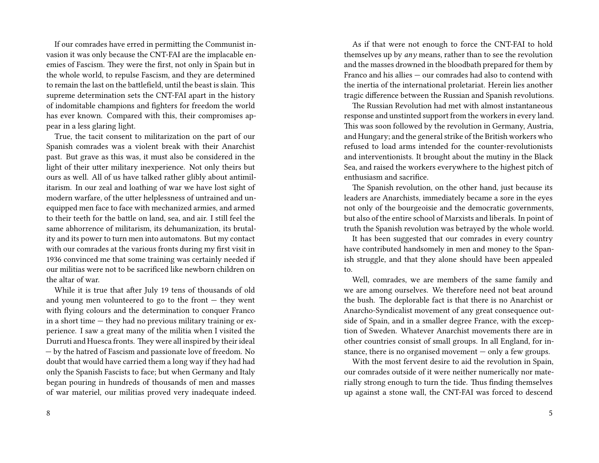If our comrades have erred in permitting the Communist invasion it was only because the CNT-FAI are the implacable enemies of Fascism. They were the first, not only in Spain but in the whole world, to repulse Fascism, and they are determined to remain the last on the battlefield, until the beast is slain. This supreme determination sets the CNT-FAI apart in the history of indomitable champions and fighters for freedom the world has ever known. Compared with this, their compromises appear in a less glaring light.

True, the tacit consent to militarization on the part of our Spanish comrades was a violent break with their Anarchist past. But grave as this was, it must also be considered in the light of their utter military inexperience. Not only theirs but ours as well. All of us have talked rather glibly about antimilitarism. In our zeal and loathing of war we have lost sight of modern warfare, of the utter helplessness of untrained and unequipped men face to face with mechanized armies, and armed to their teeth for the battle on land, sea, and air. I still feel the same abhorrence of militarism, its dehumanization, its brutality and its power to turn men into automatons. But my contact with our comrades at the various fronts during my first visit in 1936 convinced me that some training was certainly needed if our militias were not to be sacrificed like newborn children on the altar of war.

While it is true that after July 19 tens of thousands of old and young men volunteered to go to the front — they went with flying colours and the determination to conquer Franco in a short time — they had no previous military training or experience. I saw a great many of the militia when I visited the Durruti and Huesca fronts. They were all inspired by their ideal — by the hatred of Fascism and passionate love of freedom. No doubt that would have carried them a long way if they had had only the Spanish Fascists to face; but when Germany and Italy began pouring in hundreds of thousands of men and masses of war materiel, our militias proved very inadequate indeed.

As if that were not enough to force the CNT-FAI to hold themselves up by *any* means, rather than to see the revolution and the masses drowned in the bloodbath prepared for them by Franco and his allies — our comrades had also to contend with the inertia of the international proletariat. Herein lies another tragic difference between the Russian and Spanish revolutions.

The Russian Revolution had met with almost instantaneous response and unstinted support from the workers in every land. This was soon followed by the revolution in Germany, Austria, and Hungary; and the general strike of the British workers who refused to load arms intended for the counter-revolutionists and interventionists. It brought about the mutiny in the Black Sea, and raised the workers everywhere to the highest pitch of enthusiasm and sacrifice.

The Spanish revolution, on the other hand, just because its leaders are Anarchists, immediately became a sore in the eyes not only of the bourgeoisie and the democratic governments, but also of the entire school of Marxists and liberals. In point of truth the Spanish revolution was betrayed by the whole world.

It has been suggested that our comrades in every country have contributed handsomely in men and money to the Spanish struggle, and that they alone should have been appealed to.

Well, comrades, we are members of the same family and we are among ourselves. We therefore need not beat around the bush. The deplorable fact is that there is no Anarchist or Anarcho-Syndicalist movement of any great consequence outside of Spain, and in a smaller degree France, with the exception of Sweden. Whatever Anarchist movements there are in other countries consist of small groups. In all England, for instance, there is no organised movement — only a few groups.

With the most fervent desire to aid the revolution in Spain, our comrades outside of it were neither numerically nor materially strong enough to turn the tide. Thus finding themselves up against a stone wall, the CNT-FAI was forced to descend